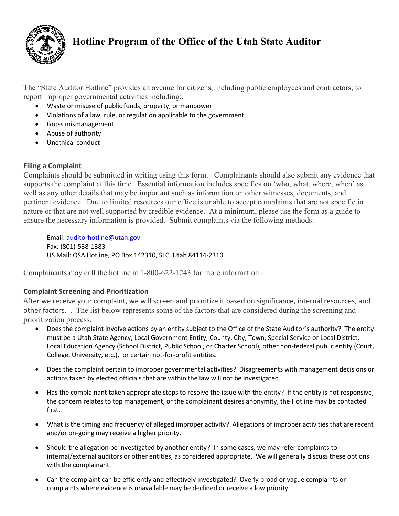

# **Hotline Program of the Office of the Utah State Auditor**

The "State Auditor Hotline" provides an avenue for citizens, including public employees and contractors, to report improper governmental activities including:.

- Waste or misuse of public funds, property, or manpower
- Violations of a law, rule, or regulation applicable to the government
- Gross mismanagement
- Abuse of authority
- Unethical conduct

## **Filing a Complaint**

Complaints should be submitted in writing using this form. Complainants should also submit any evidence that supports the complaint at this time. Essential information includes specifics on 'who, what, where, when' as well as any other details that may be important such as information on other witnesses, documents, and pertinent evidence. Due to limited resources our office is unable to accept complaints that are not specific in nature or that are not well supported by credible evidence. At a minimum, please use the form as a guide to ensure the necessary information is provided. Submit complaints via the following methods:

Email: [auditorhotline@utah.gov](mailto:auditorhotline@utah.gov) Fax: (801)-538-1383 US Mail: OSA Hotline, PO Box 142310, SLC, Utah 84114-2310

Complainants may call the hotline at 1-800-622-1243 for more information.

## **Complaint Screening and Prioritization**

After we receive your complaint, we will screen and prioritize it based on significance, internal resources, and other factors. . The list below represents some of the factors that are considered during the screening and prioritization process.

- Does the complaint involve actions by an entity subject to the Office of the State Auditor's authority? The entity must be a Utah State Agency, Local Government Entity, County, City, Town, Special Service or Local District, Local Education Agency (School District, Public School, or Charter School), other non-federal public entity (Court, College, University, etc.), or certain not-for-profit entities.
- Does the complaint pertain to improper governmental activities? Disagreements with management decisions or actions taken by elected officials that are within the law will not be investigated.
- Has the complainant taken appropriate steps to resolve the issue with the entity? If the entity is not responsive, the concern relates to top management, or the complainant desires anonymity, the Hotline may be contacted first.
- What is the timing and frequency of alleged improper activity? Allegations of improper activities that are recent and/or on-going may receive a higher priority.
- Should the allegation be investigated by another entity? In some cases, we may refer complaints to internal/external auditors or other entities, as considered appropriate. We will generally discuss these options with the complainant.
- Can the complaint can be efficiently and effectively investigated? Overly broad or vague complaints or complaints where evidence is unavailable may be declined or receive a low priority.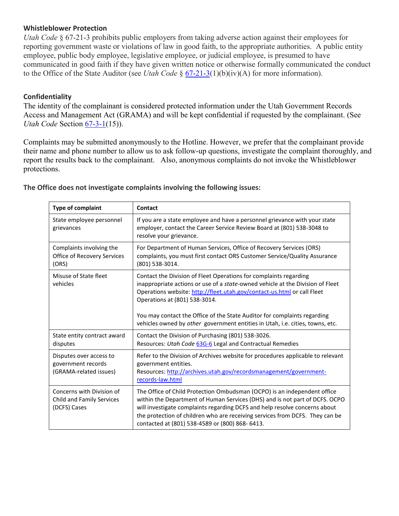### **Whistleblower Protection**

*Utah Code* § 67-21-3 prohibits public employers from taking adverse action against their employees for reporting government waste or violations of law in good faith, to the appropriate authorities. A public entity employee, public body employee, legislative employee, or judicial employee, is presumed to have communicated in good faith if they have given written notice or otherwise formally communicated the conduct to the Office of the State Auditor (see *Utah Code* § [67-21-3\(](http://le.utah.gov/xcode/Title67/Chapter21/67-21-S3.html)1)(b)(iv)(A) for more information).

### **Confidentiality**

The identity of the complainant is considered protected information under the Utah Government Records Access and Management Act (GRAMA) and will be kept confidential if requested by the complainant. (See *Utah Code* Section <u>67-3-1</u>(15)).

Complaints may be submitted anonymously to the Hotline. However, we prefer that the complainant provide their name and phone number to allow us to ask follow-up questions, investigate the complaint thoroughly, and report the results back to the complainant. Also, anonymous complaints do not invoke the Whistleblower protections.

| <b>Type of complaint</b>                                                | Contact                                                                                                                                                                                                                                                                                                                                                                                                                      |  |  |
|-------------------------------------------------------------------------|------------------------------------------------------------------------------------------------------------------------------------------------------------------------------------------------------------------------------------------------------------------------------------------------------------------------------------------------------------------------------------------------------------------------------|--|--|
| State employee personnel<br>grievances                                  | If you are a state employee and have a personnel grievance with your state<br>employer, contact the Career Service Review Board at (801) 538-3048 to<br>resolve your grievance.                                                                                                                                                                                                                                              |  |  |
| Complaints involving the<br>Office of Recovery Services<br>(ORS)        | For Department of Human Services, Office of Recovery Services (ORS)<br>complaints, you must first contact ORS Customer Service/Quality Assurance<br>(801) 538-3014.                                                                                                                                                                                                                                                          |  |  |
| Misuse of State fleet<br>vehicles                                       | Contact the Division of Fleet Operations for complaints regarding<br>inappropriate actions or use of a state-owned vehicle at the Division of Fleet<br>Operations website: http://fleet.utah.gov/contact-us.html or call Fleet<br>Operations at (801) 538-3014.<br>You may contact the Office of the State Auditor for complaints regarding<br>vehicles owned by other government entities in Utah, i.e. cities, towns, etc. |  |  |
| State entity contract award<br>disputes                                 | Contact the Division of Purchasing (801) 538-3026.<br>Resources: Utah Code 63G-6 Legal and Contractual Remedies                                                                                                                                                                                                                                                                                                              |  |  |
| Disputes over access to<br>government records<br>(GRAMA-related issues) | Refer to the Division of Archives website for procedures applicable to relevant<br>government entities.<br>Resources: http://archives.utah.gov/recordsmanagement/government-<br>records-law.html                                                                                                                                                                                                                             |  |  |
| Concerns with Division of<br>Child and Family Services<br>(DCFS) Cases  | The Office of Child Protection Ombudsman (OCPO) is an independent office<br>within the Department of Human Services (DHS) and is not part of DCFS. OCPO<br>will investigate complaints regarding DCFS and help resolve concerns about<br>the protection of children who are receiving services from DCFS. They can be<br>contacted at (801) 538-4589 or (800) 868-6413.                                                      |  |  |

**The Office does not investigate complaints involving the following issues:**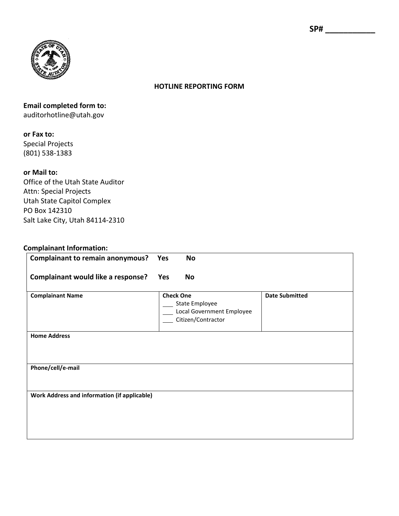

### **HOTLINE REPORTING FORM**

# **Email completed form to:** auditorhotline@utah.gov

#### **or Fax to:**

Special Projects (801) 538-1383

### **or Mail to:**

Office of the Utah State Auditor Attn: Special Projects Utah State Capitol Complex PO Box 142310 Salt Lake City, Utah 84114-2310

#### **Complainant Information:**

| <b>Complainant to remain anonymous?</b>             | Yes        | No                                                                                    |                       |
|-----------------------------------------------------|------------|---------------------------------------------------------------------------------------|-----------------------|
| <b>Complainant would like a response?</b>           | <b>Yes</b> | <b>No</b>                                                                             |                       |
| <b>Complainant Name</b>                             |            | <b>Check One</b><br>State Employee<br>Local Government Employee<br>Citizen/Contractor | <b>Date Submitted</b> |
| <b>Home Address</b>                                 |            |                                                                                       |                       |
| Phone/cell/e-mail                                   |            |                                                                                       |                       |
| <b>Work Address and information (if applicable)</b> |            |                                                                                       |                       |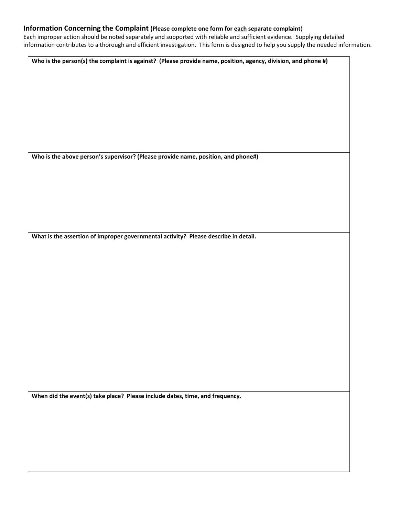#### **Information Concerning the Complaint (Please complete one form for each separate complaint**)

Each improper action should be noted separately and supported with reliable and sufficient evidence. Supplying detailed information contributes to a thorough and efficient investigation. This form is designed to help you supply the needed information.

**Who is the person(s) the complaint is against? (Please provide name, position, agency, division, and phone #)**

**Who is the above person's supervisor? (Please provide name, position, and phone#)**

**What is the assertion of improper governmental activity? Please describe in detail.** 

**When did the event(s) take place? Please include dates, time, and frequency.**